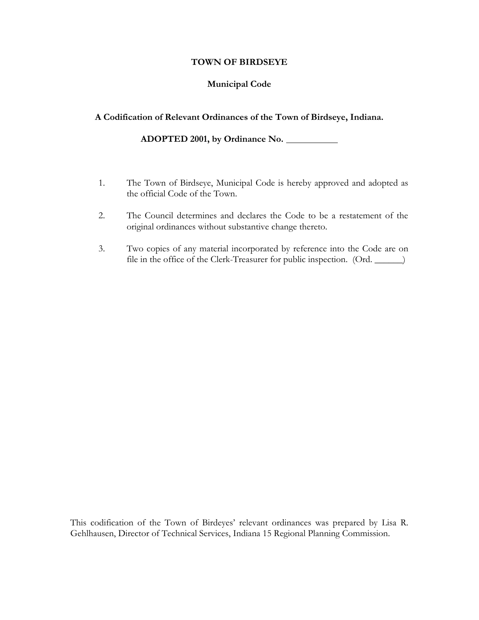#### **TOWN OF BIRDSEYE Municipal**

## **Municipal Code**

### $A$  **Codification** of Relevant **Ordinances** of the Town of Birdseye, Indiana.

**2001, by Ordinance No.**

- 1. The Town of Birdseye, Municipal Code is hereby approved and adopted as the official Code of the Town.
- 2. The Council determines and declares the Code to be a restatement of the original ordinances without substantive change thereto.
- Two copies of any material incorporated by reference into the Code are on<br>file in the office of the Clerk-Treasurer for public inspection. (Ord. 3.

This codification of the Town of Birdeves' relevant ordinances was prepared by Lisa R. tion of the Town of Birdeyes' relevant ordinances was prepared by Lisa R<br>Director of Technical Services, Indiana 15 Regional Planning Commission.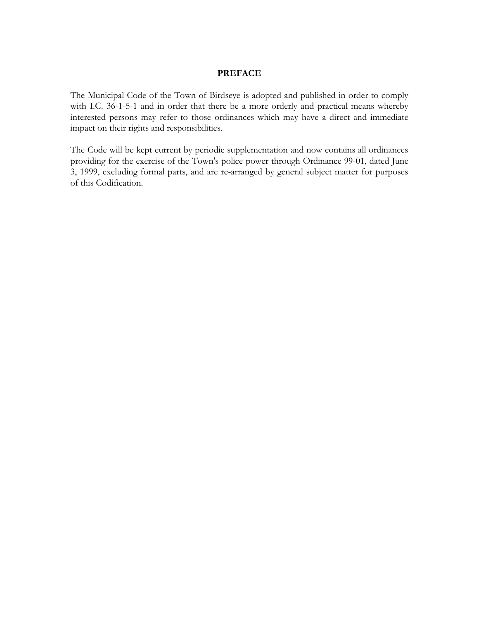Municipal Code of the Town of Birdseye is adopted and published in order to comply with I.C. 36-1-5-1 and in order that there be <sup>a</sup> more orderly and practical means whereby interested persons may refer to those ordinances which may have a direct and immediate<br>interested persons may refer to those ordinances which may have a direct and immediate interested persons may refer to those ordina<br>impact on their rights and responsibilities.

mapped on their rights and responsibilities.<br>The Code will be kept current by periodic supplementation and now contains all ordinances<br>providing for the exercise of the Town's police power through Ordinance 99-01, dated Ju 3, 1999, excluding formal parts, and are re-arranged by general subject matter for purposes providing for the en<br>3, 1999, excluding f<br>of this Codification.